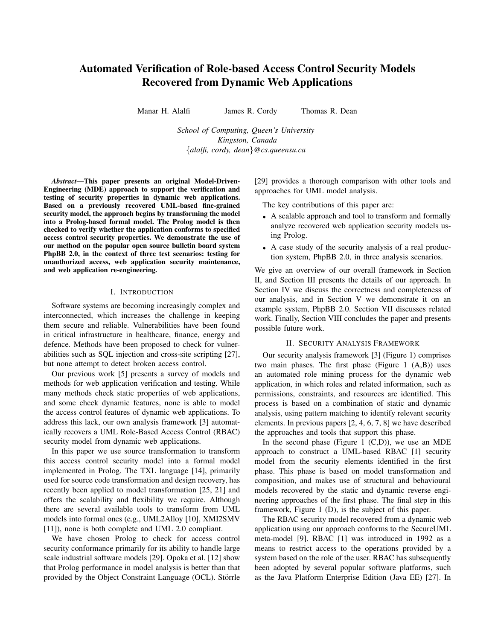# Automated Verification of Role-based Access Control Security Models Recovered from Dynamic Web Applications

Manar H. Alalfi James R. Cordy Thomas R. Dean

*School of Computing, Queen's University Kingston, Canada* {*alalfi, cordy, dean*}*@cs.queensu.ca*

*Abstract*—This paper presents an original Model-Driven-Engineering (MDE) approach to support the verification and testing of security properties in dynamic web applications. Based on a previously recovered UML-based fine-grained security model, the approach begins by transforming the model into a Prolog-based formal model. The Prolog model is then checked to verify whether the application conforms to specified access control security properties. We demonstrate the use of our method on the popular open source bulletin board system PhpBB 2.0, in the context of three test scenarios: testing for unauthorized access, web application security maintenance, and web application re-engineering.

# I. INTRODUCTION

Software systems are becoming increasingly complex and interconnected, which increases the challenge in keeping them secure and reliable. Vulnerabilities have been found in critical infrastructure in healthcare, finance, energy and defence. Methods have been proposed to check for vulnerabilities such as SQL injection and cross-site scripting [27], but none attempt to detect broken access control.

Our previous work [5] presents a survey of models and methods for web application verification and testing. While many methods check static properties of web applications, and some check dynamic features, none is able to model the access control features of dynamic web applications. To address this lack, our own analysis framework [3] automatically recovers a UML Role-Based Access Control (RBAC) security model from dynamic web applications.

In this paper we use source transformation to transform this access control security model into a formal model implemented in Prolog. The TXL language [14], primarily used for source code transformation and design recovery, has recently been applied to model transformation [25, 21] and offers the scalability and flexibility we require. Although there are several available tools to transform from UML models into formal ones (e.g., UML2Alloy [10], XMI2SMV [11]), none is both complete and UML 2.0 compliant.

We have chosen Prolog to check for access control security conformance primarily for its ability to handle large scale industrial software models [29]. Opoka et al. [12] show that Prolog performance in model analysis is better than that provided by the Object Constraint Language (OCL). Störrle [29] provides a thorough comparison with other tools and approaches for UML model analysis.

The key contributions of this paper are:

- A scalable approach and tool to transform and formally analyze recovered web application security models using Prolog.
- A case study of the security analysis of a real production system, PhpBB 2.0, in three analysis scenarios.

We give an overview of our overall framework in Section II, and Section III presents the details of our approach. In Section IV we discuss the correctness and completeness of our analysis, and in Section V we demonstrate it on an example system, PhpBB 2.0. Section VII discusses related work. Finally, Section VIII concludes the paper and presents possible future work.

#### II. SECURITY ANALYSIS FRAMEWORK

Our security analysis framework [3] (Figure 1) comprises two main phases. The first phase (Figure 1 (A,B)) uses an automated role mining process for the dynamic web application, in which roles and related information, such as permissions, constraints, and resources are identified. This process is based on a combination of static and dynamic analysis, using pattern matching to identify relevant security elements. In previous papers [2, 4, 6, 7, 8] we have described the approaches and tools that support this phase.

In the second phase (Figure 1  $(C,D)$ ), we use an MDE approach to construct a UML-based RBAC [1] security model from the security elements identified in the first phase. This phase is based on model transformation and composition, and makes use of structural and behavioural models recovered by the static and dynamic reverse engineering approaches of the first phase. The final step in this framework, Figure 1 (D), is the subject of this paper.

The RBAC security model recovered from a dynamic web application using our approach conforms to the SecureUML meta-model [9]. RBAC [1] was introduced in 1992 as a means to restrict access to the operations provided by a system based on the role of the user. RBAC has subsequently been adopted by several popular software platforms, such as the Java Platform Enterprise Edition (Java EE) [27]. In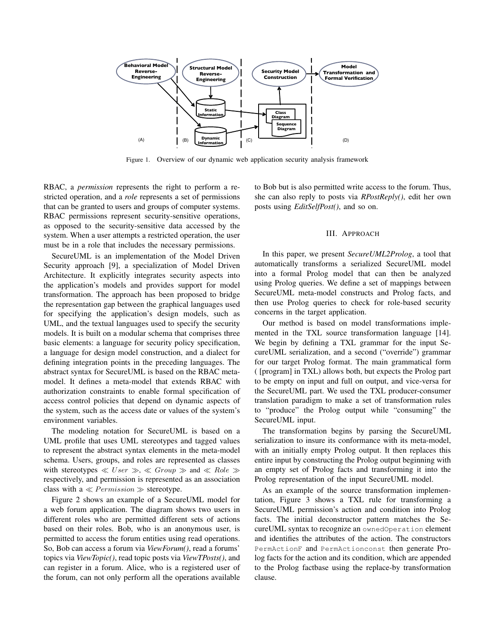

Figure 1. Overview of our dynamic web application security analysis framework

RBAC, a *permission* represents the right to perform a restricted operation, and a *role* represents a set of permissions that can be granted to users and groups of computer systems. RBAC permissions represent security-sensitive operations, as opposed to the security-sensitive data accessed by the system. When a user attempts a restricted operation, the user must be in a role that includes the necessary permissions.

SecureUML is an implementation of the Model Driven Security approach [9], a specialization of Model Driven Architecture. It explicitly integrates security aspects into the application's models and provides support for model transformation. The approach has been proposed to bridge the representation gap between the graphical languages used for specifying the application's design models, such as UML, and the textual languages used to specify the security models. It is built on a modular schema that comprises three basic elements: a language for security policy specification, a language for design model construction, and a dialect for defining integration points in the preceding languages. The abstract syntax for SecureUML is based on the RBAC metamodel. It defines a meta-model that extends RBAC with authorization constraints to enable formal specification of access control policies that depend on dynamic aspects of the system, such as the access date or values of the system's environment variables.

The modeling notation for SecureUML is based on a UML profile that uses UML stereotypes and tagged values to represent the abstract syntax elements in the meta-model schema. Users, groups, and roles are represented as classes with stereotypes  $\ll$  User  $\gg$ ,  $\ll$  Group  $\gg$  and  $\ll$  Role  $\gg$ respectively, and permission is represented as an association class with a  $\ll$  *Permission*  $\gg$  stereotype.

Figure 2 shows an example of a SecureUML model for a web forum application. The diagram shows two users in different roles who are permitted different sets of actions based on their roles. Bob, who is an anonymous user, is permitted to access the forum entities using read operations. So, Bob can access a forum via *ViewForum()*, read a forums' topics via *ViewTopic()*, read topic posts via *ViewTPosts()*, and can register in a forum. Alice, who is a registered user of the forum, can not only perform all the operations available to Bob but is also permitted write access to the forum. Thus, she can also reply to posts via *RPostReply()*, edit her own posts using *EditSelfPost()*, and so on.

#### III. APPROACH

In this paper, we present *SecureUML2Prolog*, a tool that automatically transforms a serialized SecureUML model into a formal Prolog model that can then be analyzed using Prolog queries. We define a set of mappings between SecureUML meta-model constructs and Prolog facts, and then use Prolog queries to check for role-based security concerns in the target application.

Our method is based on model transformations implemented in the TXL source transformation language [14]. We begin by defining a TXL grammar for the input SecureUML serialization, and a second ("override") grammar for our target Prolog format. The main grammatical form ( [program] in TXL) allows both, but expects the Prolog part to be empty on input and full on output, and vice-versa for the SecureUML part. We used the TXL producer-consumer translation paradigm to make a set of transformation rules to "produce" the Prolog output while "consuming" the SecureUML input.

The transformation begins by parsing the SecureUML serialization to insure its conformance with its meta-model, with an initially empty Prolog output. It then replaces this entire input by constructing the Prolog output beginning with an empty set of Prolog facts and transforming it into the Prolog representation of the input SecureUML model.

As an example of the source transformation implementation, Figure 3 shows a TXL rule for transforming a SecureUML permission's action and condition into Prolog facts. The initial deconstructor pattern matches the SecureUML syntax to recognize an ownedOperation element and identifies the attributes of the action. The constructors PermActionF and PermActionconst then generate Prolog facts for the action and its condition, which are appended to the Prolog factbase using the replace-by transformation clause.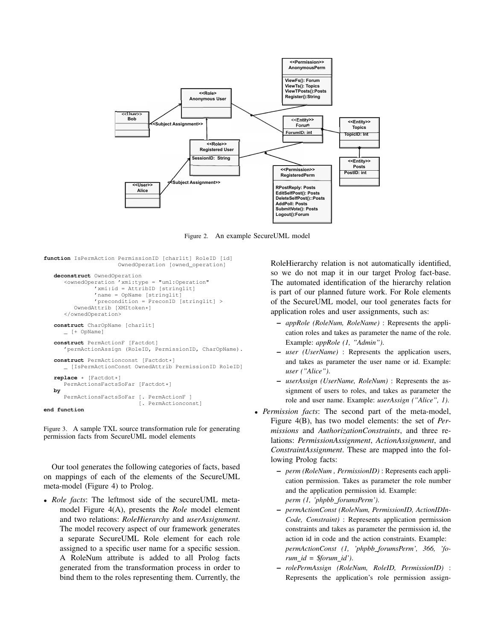

Figure 2. An example SecureUML model

```
function IsPermAction PermissionID [charlit] RoleID [id]
                       OwnedOperation [owned_operation]
   deconstruct OwnedOperation
      <ownedOperation 'xmi:type = "uml:Operation"
                'xmi:id = AttribID [stringlit]
                'name = OpName [stringlit]
'precondition = PreconID [stringlit] >
         OwnedAttrib [XMItoken*]
      </ownedOperation>
   construct CharOpName [charlit]
      _{-} [+ OpName]
   construct PermActionF [Factdot]
      'permActionAssign (RoleID, PermissionID, CharOpName).
   construct PermActionconst [Factdot*]
      _ [IsPermActionConst OwnedAttrib PermissionID RoleID]
   replace * [Factdot*]
      PermActionsFactsSoFar [Factdot*]
   by
      PermActionsFactsSoFar [. PermActionF ]
                              [. PermActionconst]
end function
```
Figure 3. A sample TXL source transformation rule for generating permission facts from SecureUML model elements

Our tool generates the following categories of facts, based on mappings of each of the elements of the SecureUML meta-model (Figure 4) to Prolog.

• *Role facts*: The leftmost side of the secureUML metamodel Figure 4(A), presents the *Role* model element and two relations: *RoleHierarchy* and *userAssignment*. The model recovery aspect of our framework generates a separate SecureUML Role element for each role assigned to a specific user name for a specific session. A RoleNum attribute is added to all Prolog facts generated from the transformation process in order to bind them to the roles representing them. Currently, the RoleHierarchy relation is not automatically identified, so we do not map it in our target Prolog fact-base. The automated identification of the hierarchy relation is part of our planned future work. For Role elements of the SecureUML model, our tool generates facts for application roles and user assignments, such as:

- *appRole (RoleNum, RoleName)* : Represents the application roles and takes as parameter the name of the role. Example: *appRole (1, "Admin")*.
- *user (UserName)* : Represents the application users, and takes as parameter the user name or id. Example: *user ("Alice")*.
- *userAssign (UserName, RoleNum)* : Represents the assignment of users to roles, and takes as parameter the role and user name. Example: *userAssign ("Alice", 1)*.
- *Permission facts*: The second part of the meta-model, Figure 4(B), has two model elements: the set of *Permissions* and *AuthorizationConstraints*, and three relations: *PermissionAssignment*, *ActionAssignment*, and *ConstraintAssignment*. These are mapped into the following Prolog facts:
	- *perm (RoleNum , PermissionID)* : Represents each application permission. Takes as parameter the role number and the application permission id. Example: *perm (1, 'phpbb forumsPerm')*.
	- *permActionConst (RoleNum, PermissionID, ActionIDIn-Code, Constraint)* : Represents application permission constraints and takes as parameter the permission id, the action id in code and the action constraints. Example: *permActionConst (1, 'phpbb forumsPerm', 366, 'fo* $rum_id = $form_id'.$
	- *rolePermAssign (RoleNum, RoleID, PermissionID)* : Represents the application's role permission assign-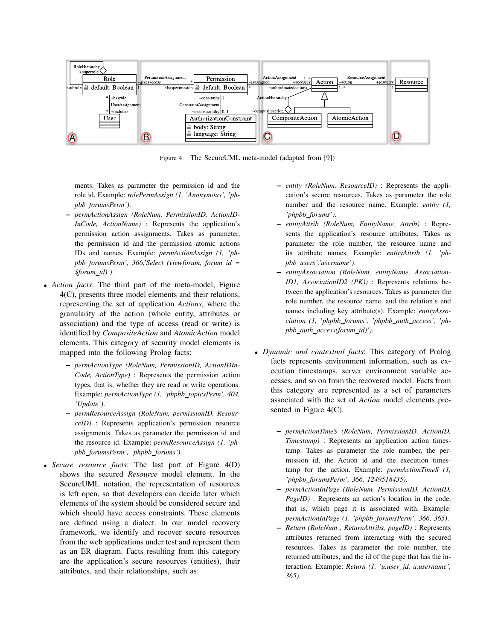

Figure 4. The SecureUML meta-model (adapted from [9])

ments. Takes as parameter the permission id and the role id. Example: *rolePermAssign (1, 'Anonymous', 'phpbb forumsPerm')*.

- *permActionAssign (RoleNum, PermissionID, ActionID-InCode, ActionName)* : Represents the application's permission action assignments. Takes as parameter, the permission id and the permission atomic actions IDs and names. Example: *permActionAssign (1, 'phpbb forumsPerm', 366,'Select (viewforum, forum id =* \$*forum id)')*.
- *Action facts*: The third part of the meta-model, Figure 4(C), presents three model elements and their relations, representing the set of application *Actions*, where the granularity of the action (whole entity, attributes or association) and the type of access (read or write) is identified by *CompositeAction* and *AtomicAction* model elements. This category of security model elements is mapped into the following Prolog facts:
	- *permActionType (RoleNum, PermissionID, ActionIDIn-Code, ActionType)* : Represents the permission action types, that is, whether they are read or write operations. Example: *permActionType (1, 'phpbb topicsPerm', 404, 'Update')*.
	- *permResourceAssign (RoleNum, permissionID, ResourceID)* : Represents application's permission resource assignments. Takes as parameter the permission id and the resource id. Example: *permResourceAssign (1, 'phpbb forumsPerm', 'phpbb forums')*.
- *Secure resource facts*: The last part of Figure 4(D) shows the secured *Resource* model element. In the SecureUML notation, the representation of resources is left open, so that developers can decide later which elements of the system should be considered secure and which should have access constraints. These elements are defined using a dialect. In our model recovery framework, we identify and recover secure resources from the web applications under test and represent them as an ER diagram. Facts resulting from this category are the application's secure resources (entities), their attributes, and their relationships, such as:
- *entity (RoleNum, ResourceID)* : Represents the application's secure resources. Takes as parameter the role number and the resource name. Example: *entity (1, 'phpbb forums')*.
- *entityAttrib (RoleNum, EntityName, Attrib)* : Represents the application's resource attributes. Takes as parameter the role number, the resource name and its attribute names. Example: *entityAttrib (1, 'phpbb users','username')*.
- *entityAssociation (RoleNum, entityName, Association-ID1, AssociationID2 (PK))* : Represents relations between the application's resources. Takes as parameter the role number, the resource name, and the relation's end names including key attribute(s). Example: *entityAssociation (1, 'phpbb forums', 'phpbb auth access', 'phpbb auth access(forum id)')*.
- *Dynamic and contextual facts*: This category of Prolog facts represents environment information, such as execution timestamps, server environment variable accesses, and so on from the recovered model. Facts from this category are represented as a set of parameters associated with the set of *Action* model elements presented in Figure 4(C).
	- *permActionTimeS (RoleNum, PermissionID, ActionID, Timestamp)* : Represents an application action timestamp. Takes as parameter the role number, the permission id, the Action id and the execution timestamp for the action. Example: *permActionTimeS (1, 'phpbb forumsPerm', 366, 1249518435)*.
	- *permActionInPage (RoleNum, PermissionID, ActionID, PageID)* : Represents an action's location in the code, that is, which page it is associated with. Example: *permActionInPage (1, 'phpbb forumsPerm', 366, 365)*.
	- *Return (RoleNum , ReturnAttribs, pageID)* : Represents attributes returned from interacting with the secured resources. Takes as parameter the role number, the returned attributes, and the id of the page that has the interaction. Example: *Return (1, 'u.user id, u.username', 365)*.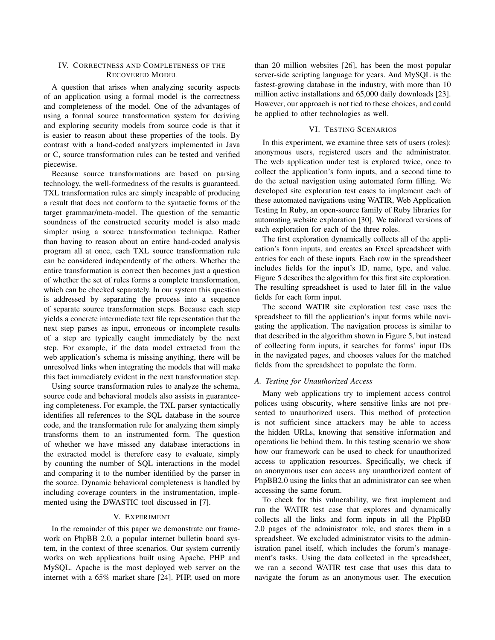# IV. CORRECTNESS AND COMPLETENESS OF THE RECOVERED MODEL

A question that arises when analyzing security aspects of an application using a formal model is the correctness and completeness of the model. One of the advantages of using a formal source transformation system for deriving and exploring security models from source code is that it is easier to reason about these properties of the tools. By contrast with a hand-coded analyzers implemented in Java or C, source transformation rules can be tested and verified piecewise.

Because source transformations are based on parsing technology, the well-formedness of the results is guaranteed. TXL transformation rules are simply incapable of producing a result that does not conform to the syntactic forms of the target grammar/meta-model. The question of the semantic soundness of the constructed security model is also made simpler using a source transformation technique. Rather than having to reason about an entire hand-coded analysis program all at once, each TXL source transformation rule can be considered independently of the others. Whether the entire transformation is correct then becomes just a question of whether the set of rules forms a complete transformation, which can be checked separately. In our system this question is addressed by separating the process into a sequence of separate source transformation steps. Because each step yields a concrete intermediate text file representation that the next step parses as input, erroneous or incomplete results of a step are typically caught immediately by the next step. For example, if the data model extracted from the web application's schema is missing anything, there will be unresolved links when integrating the models that will make this fact immediately evident in the next transformation step.

Using source transformation rules to analyze the schema, source code and behavioral models also assists in guaranteeing completeness. For example, the TXL parser syntactically identifies all references to the SQL database in the source code, and the transformation rule for analyzing them simply transforms them to an instrumented form. The question of whether we have missed any database interactions in the extracted model is therefore easy to evaluate, simply by counting the number of SQL interactions in the model and comparing it to the number identified by the parser in the source. Dynamic behavioral completeness is handled by including coverage counters in the instrumentation, implemented using the DWASTIC tool discussed in [7].

# V. EXPERIMENT

In the remainder of this paper we demonstrate our framework on PhpBB 2.0, a popular internet bulletin board system, in the context of three scenarios. Our system currently works on web applications built using Apache, PHP and MySQL. Apache is the most deployed web server on the internet with a 65% market share [24]. PHP, used on more than 20 million websites [26], has been the most popular server-side scripting language for years. And MySQL is the fastest-growing database in the industry, with more than 10 million active installations and 65,000 daily downloads [23]. However, our approach is not tied to these choices, and could be applied to other technologies as well.

# VI. TESTING SCENARIOS

In this experiment, we examine three sets of users (roles): anonymous users, registered users and the administrator. The web application under test is explored twice, once to collect the application's form inputs, and a second time to do the actual navigation using automated form filling. We developed site exploration test cases to implement each of these automated navigations using WATIR, Web Application Testing In Ruby, an open-source family of Ruby libraries for automating website exploration [30]. We tailored versions of each exploration for each of the three roles.

The first exploration dynamically collects all of the application's form inputs, and creates an Excel spreadsheet with entries for each of these inputs. Each row in the spreadsheet includes fields for the input's ID, name, type, and value. Figure 5 describes the algorithm for this first site exploration. The resulting spreadsheet is used to later fill in the value fields for each form input.

The second WATIR site exploration test case uses the spreadsheet to fill the application's input forms while navigating the application. The navigation process is similar to that described in the algorithm shown in Figure 5, but instead of collecting form inputs, it searches for forms' input IDs in the navigated pages, and chooses values for the matched fields from the spreadsheet to populate the form.

# *A. Testing for Unauthorized Access*

Many web applications try to implement access control polices using obscurity, where sensitive links are not presented to unauthorized users. This method of protection is not sufficient since attackers may be able to access the hidden URLs, knowing that sensitive information and operations lie behind them. In this testing scenario we show how our framework can be used to check for unauthorized access to application resources. Specifically, we check if an anonymous user can access any unauthorized content of PhpBB2.0 using the links that an administrator can see when accessing the same forum.

To check for this vulnerability, we first implement and run the WATIR test case that explores and dynamically collects all the links and form inputs in all the PhpBB 2.0 pages of the administrator role, and stores them in a spreadsheet. We excluded administrator visits to the administration panel itself, which includes the forum's management's tasks. Using the data collected in the spreadsheet, we ran a second WATIR test case that uses this data to navigate the forum as an anonymous user. The execution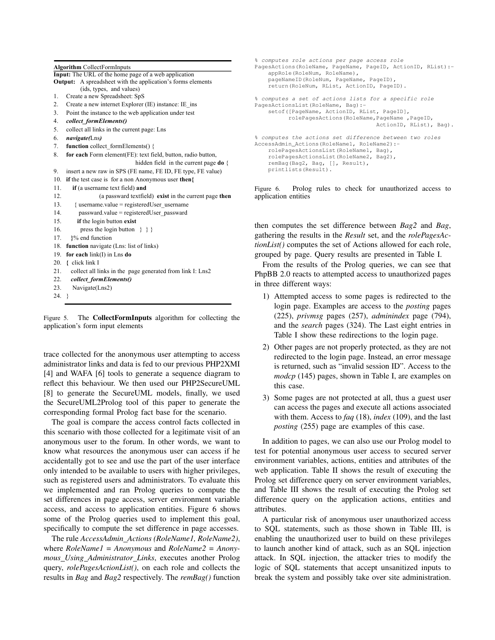| <b>Algorithm</b> CollectFormInputs                                 |  |  |  |  |
|--------------------------------------------------------------------|--|--|--|--|
| <b>Input:</b> The URL of the home page of a web application        |  |  |  |  |
| A spreadsheet with the application's forms elements<br>Output:     |  |  |  |  |
| (ids, types, and values)                                           |  |  |  |  |
| Create a new Spreadsheet: SpS<br>1.                                |  |  |  |  |
| 2.<br>Create a new internet Explorer (IE) instance: IE_ins         |  |  |  |  |
| Point the instance to the web application under test<br>3.         |  |  |  |  |
| 4.<br>collect formElements()                                       |  |  |  |  |
| 5.<br>collect all links in the current page: Lns                   |  |  |  |  |
| $\mathit{navigate}(\text{Lns})$<br>6.                              |  |  |  |  |
| function collect formElements() {<br>7.                            |  |  |  |  |
| 8.<br>for each Form element(FE): text field, button, radio button, |  |  |  |  |
| hidden field in the current page do $\{$                           |  |  |  |  |
| insert a new raw in SPS (FE name, FE ID, FE type, FE value)<br>9.  |  |  |  |  |
| 10.<br><b>if</b> the test case is for a non Anonymous user then {  |  |  |  |  |
| 11.<br>if (a username text field) and                              |  |  |  |  |
| 12.<br>(a passward textfield) exist in the current page then       |  |  |  |  |
| 13.<br>{ username.value = registered User username                 |  |  |  |  |
| passward.value = registeredUser passward<br>14 <sub>1</sub>        |  |  |  |  |
| 15.<br>if the login button exist                                   |  |  |  |  |
| 16.<br>press the login button $\{\}$                               |  |  |  |  |
| 1% end function<br>17.                                             |  |  |  |  |
| 18.<br>function navigate (Lns: list of links)                      |  |  |  |  |
| 19.<br>for each $link(I)$ in Lns do                                |  |  |  |  |
| 20. $\{$ click link I                                              |  |  |  |  |
| 21.<br>collect all links in the page generated from link I: Lns2   |  |  |  |  |
| collect formElements()<br>22.                                      |  |  |  |  |
| 23.<br>Navigate(Lns2)                                              |  |  |  |  |
| 24.<br>₹                                                           |  |  |  |  |

Figure 5. The CollectFormInputs algorithm for collecting the application's form input elements

trace collected for the anonymous user attempting to access administrator links and data is fed to our previous PHP2XMI [4] and WAFA [6] tools to generate a sequence diagram to reflect this behaviour. We then used our PHP2SecureUML [8] to generate the SecureUML models, finally, we used the SecureUML2Prolog tool of this paper to generate the corresponding formal Prolog fact base for the scenario.

The goal is compare the access control facts collected in this scenario with those collected for a legitimate visit of an anonymous user to the forum. In other words, we want to know what resources the anonymous user can access if he accidentally got to see and use the part of the user interface only intended to be available to users with higher privileges, such as registered users and administrators. To evaluate this we implemented and ran Prolog queries to compute the set differences in page access, server environment variable access, and access to application entities. Figure 6 shows some of the Prolog queries used to implement this goal, specifically to compute the set difference in page accesses.

The rule *AccessAdmin Actions (RoleName1, RoleName2)*, where *RoleName1 = Anonymous* and *RoleName2 = Anonymous Using Administrator Links*, executes another Prolog query, *rolePagesActionList()*, on each role and collects the results in *Bag* and *Bag2* respectively. The *remBag()* function

```
% computes role actions per page access role
PagesActions(RoleName, PageName, PageID, ActionID, RList):-
    appRole(RoleNum, RoleName),
   pageNameID(RoleNum, PageName, PageID),
    return(RoleNum, RList, ActionID, PageID).
% computes a set of actions lists for a specific role
PagesActionsList(RoleName, Bag):-
    setof([PageName, ActionID, RList, PageID],
          rolePagesActions(RoleName,PageName ,PageID,
                                    ActionID, RList), Bag).
% computes the actions set difference between two roles
AccessAdmin_Actions(RoleName1, RoleName2):-
    rolePagesActionsList(RoleName1, Bag),
    rolePagesActionsList(RoleName2, Bag2),
    remBag(Bag2, Bag, [], Result),
   printlists(Result).
```
Figure 6. Prolog rules to check for unauthorized access to application entities

then computes the set difference between *Bag2* and *Bag*, gathering the results in the *Result* set, and the *rolePagesActionList()* computes the set of Actions allowed for each role, grouped by page. Query results are presented in Table I.

From the results of the Prolog queries, we can see that PhpBB 2.0 reacts to attempted access to unauthorized pages in three different ways:

- 1) Attempted access to some pages is redirected to the login page. Examples are access to the *posting* pages (225), *privmsg* pages (257), *adminindex* page (794), and the *search* pages (324). The Last eight entries in Table I show these redirections to the login page.
- 2) Other pages are not properly protected, as they are not redirected to the login page. Instead, an error message is returned, such as "invalid session ID". Access to the *modcp* (145) pages, shown in Table I, are examples on this case.
- 3) Some pages are not protected at all, thus a guest user can access the pages and execute all actions associated with them. Access to *faq* (18), *index* (109), and the last *posting* (255) page are examples of this case.

In addition to pages, we can also use our Prolog model to test for potential anonymous user access to secured server environment variables, actions, entities and attributes of the web application. Table II shows the result of executing the Prolog set difference query on server environment variables, and Table III shows the result of executing the Prolog set difference query on the application actions, entities and attributes.

A particular risk of anonymous user unauthorized access to SQL statements, such as those shown in Table III, is enabling the unauthorized user to build on these privileges to launch another kind of attack, such as an SQL injection attack. In SQL injection, the attacker tries to modify the logic of SQL statements that accept unsanitized inputs to break the system and possibly take over site administration.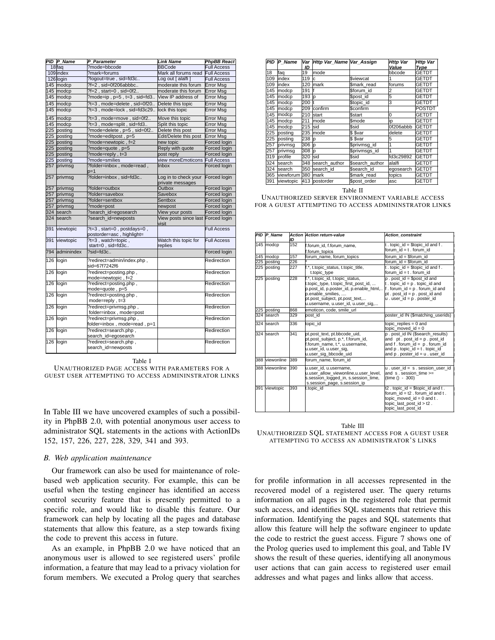|     | PID P Name    | P Parameter                                             | <b>Link Name</b>                            | <b>PhpBB React</b> |
|-----|---------------|---------------------------------------------------------|---------------------------------------------|--------------------|
|     | $18$ faq      | ?mode=bbcode                                            | <b>BBCode</b>                               | <b>Full Access</b> |
|     | 109lindex     | ?mark=forums                                            | Mark all forums read                        | <b>Full Access</b> |
|     | 126 login     | ?logout=true, sid=fd3c                                  | Log out [ alalfi ]                          | <b>Full Access</b> |
|     | 145 modcp     | ?f=2, sid=0f206abbbc                                    | moderate this forum                         | Error Msg          |
|     | 145 modcp     | ?f=2, start=0, sid=0f2                                  | moderate this forum                         | Error Msg          |
|     | 145 modcp     | ?mode=ip, p=5, t=3, sid=fd3                             | View IP address of                          | Error Msg          |
|     | 145 modcp     | ?t=3, mode=delete, sid=0f20                             | Delete this topic                           | Error Msg          |
|     | 145 modcp     | ?t=3, mode=lock, sid=fd3c29                             | lock this topic                             | Error Msg          |
|     | 145 modcp     | ?t=3, mode=move, sid=0f2                                | Move this topic                             | Error Msg          |
|     | $145$ modcp   | ?t=3, mode=split, sid=fd3                               | Split this topic                            | Error Msg          |
|     | 225 posting   | ?mode=delete, p=5, sid=0f2                              | Delete this post                            | Error Msg          |
| 225 | posting       | ?mode=editpost, p=5                                     | Edit/Delete this post                       | Error Msg          |
|     | 225 posting   | ?mode=newtopic, f=2                                     | new topic                                   | Forced login       |
| 225 | posting       | ?mode=quote, p=5                                        | Reply with quote                            | Forced login       |
|     | 225 posting   | ?mode=reply, t=3                                        | post reply                                  | Forced login       |
| 225 | lpostina      | ?mode=smilies                                           | view moreEmoticons                          | Full Access        |
| 257 | privmsa       | ?folder=inbox, mode=read,<br>p=1                        | Inbox                                       | Forced login       |
| 257 | privmsa       | ?folder=inbox, sid=fd3c                                 | Log in to check your<br>private messages    | Forced login       |
| 257 | privmsg       | ?folder=outbox                                          | Outbox                                      | Forced login       |
| 257 | privmsa       | ?folder=savebox                                         | Savebox                                     | Forced login       |
| 257 | privmsg       | ?folder=sentbox                                         | Sentbox                                     | Forced login       |
| 257 | privmsa       | ?mode=post                                              | newpost                                     | Forced login       |
| 324 | <b>search</b> | ?search id=egosearch                                    | View your posts                             | Forced login       |
| 324 | <b>search</b> | ?search id=newposts                                     | View posts since last Forced login<br>visit |                    |
| 391 | viewtopic     | ?t=3, start=0, postdays=0,<br>postorder=asc, highlight= |                                             | <b>Full Access</b> |
| 391 | viewtopic     | ?t=3, watch=topic,<br>start=0, sid=fd3c                 | Watch this topic for<br>replies             | <b>Full Access</b> |
| 794 | adminindex    | $\overline{?}$ sid=fd $3c$                              |                                             | Forced login       |
| 126 | login         | ?redirect=admin/index.php,<br>sid=67f7242f6             |                                             | Redirection        |
| 126 | login         | ?redirect=posting.php,<br>mode=newtopic, f=2            |                                             | Redirection        |
| 126 | login         | ?redirect=posting.php,<br>mode=quote, p=5               |                                             | Redirection        |
| 126 | login         | ?redirect=posting.php,<br>mode=reply, t=3               |                                             | Redirection        |
| 126 | login         | ?redirect=privmsg.php,<br>folder=inbox, mode=post       |                                             | Redirection        |
| 126 | login         | ?redirect=privmsg.php,<br>folder=inbox, mode=read, p=1  |                                             | Redirection        |
| 126 | login         | ?redirect=search.php,<br>search id=egosearch            |                                             | Redirection        |
| 126 | login         | ?redirect=search.php,<br>search id=newposts             |                                             | Redirection        |
|     |               |                                                         |                                             |                    |

Table I UNAUTHORIZED PAGE ACCESS WITH PARAMETERS FOR A GUEST USER ATTEMPTING TO ACCESS ADMININSTRATOR LINKS

In Table III we have uncovered examples of such a possibility in PhpBB 2.0, with potential anonymous user access to administrator SQL statements in the actions with ActionIDs 152, 157, 226, 227, 228, 329, 341 and 393.

## *B. Web application maintenance*

Our framework can also be used for maintenance of rolebased web application security. For example, this can be useful when the testing engineer has identified an access control security feature that is presently permitted to a specific role, and would like to disable this feature. Our framework can help by locating all the pages and database statements that allow this feature, as a step towards fixing the code to prevent this access in future.

As an example, in PhpBB 2.0 we have noticed that an anonymous user is allowed to see registered users' profile information, a feature that may lead to a privacy violation for forum members. We executed a Prolog query that searches

|     | PID P Name    | Var<br>ID | Http Var_Name Var_Assign |                               | <b>Http Var</b><br>Value | <b>Http Var</b><br><b>Type</b> |
|-----|---------------|-----------|--------------------------|-------------------------------|--------------------------|--------------------------------|
| 18  | faq           | 19        | mode                     |                               | bbcode                   | GÉTDT                          |
| 109 | lindex        | 119       | lc.                      | <b><i><u>Sviewcat</u></i></b> | 1                        | <b>GETDT</b>                   |
| 109 | lindex        | 120       | lmark                    | <b>\$mark</b> read            | forums                   | <b>GETDT</b>                   |
| 145 | modcp         | 191       |                          | \$forum id                    | 2                        | <b>GETDT</b>                   |
| 145 | modcp         | 193       | lp                       | \$post id                     | 5                        | <b>GETDT</b>                   |
| 145 | modcp         | 200       |                          | \$topic id                    | 3                        | <b>GETDT</b>                   |
| 145 | modcp         | 209       | confirm                  | \$confirm                     |                          | <b>POSTDT</b>                  |
| 145 | modcp         | 210       | Istart                   | \$start                       | 0                        | <b>GETDT</b>                   |
| 145 | modcp         | 211       | lmode                    | \$mode                        | ∣ip                      | <b>GETDT</b>                   |
| 145 | modcp         | 215       | sid                      | \$sid                         | 0f206abbb                | <b>GETDT</b>                   |
| 225 | posting       | 235       | Imode                    | \$ \$var                      | delete                   | <b>GETDT</b>                   |
| 225 | posting       | 238       | Ip                       | \$ \$var                      | 5                        | <b>GETDT</b>                   |
| 257 | privmsg       | 306       | Ip                       | \$privmsg id                  | 1                        | <b>GETDT</b>                   |
| 257 | privmsg       | 308       | lp                       | \$privmsgs id                 |                          | <b>GETDT</b>                   |
| 319 | profile       | 320       | sid                      | \$sid                         | fd3c29892                | <b>GETDT</b>                   |
| 324 | <b>search</b> | 348       | search author            | \$search author               | alalfi                   | <b>GETDT</b>                   |
| 324 | lsearch       | 350       | lsearch id               | \$search id                   | egosearch                | <b>GETDT</b>                   |
| 365 | viewforum     | 380       | lmark                    | \$mark read                   | topics                   | GETDT                          |
| 391 | viewtopic     |           | 413 lpostorder           | \$post order                  | asc                      | <b>GETDT</b>                   |

Table II UNAUTHORIZED SERVER ENVIRONMENT VARIABLE ACCESS FOR A GUEST ATTEMPTING TO ACCESS ADMININSTRATOR LINKS

| PID P Name     | ID  | Action Action return-value                                                                                                                                                                                      | <b>Action constraint</b>                                                                                                                                                                      |
|----------------|-----|-----------------------------------------------------------------------------------------------------------------------------------------------------------------------------------------------------------------|-----------------------------------------------------------------------------------------------------------------------------------------------------------------------------------------------|
| 145 modcp      | 152 | f.forum id, f.forum name,<br>f.forum topics                                                                                                                                                                     | $t$ . topic $id =$ \$topic $id$ and $f$ .<br>forum $id = t$ . forum $id$                                                                                                                      |
| 145 modcp      | 157 | forum name, forum topics                                                                                                                                                                                        | forum id = \$forum id                                                                                                                                                                         |
| 225 posting    | 226 |                                                                                                                                                                                                                 | forum id = \$forum id                                                                                                                                                                         |
| 225 loostina   | 227 | f.*, t.topic status, t.topic title,<br>t.topic type                                                                                                                                                             | $t$ . topic $id = $topic$ id and f.<br>forum $id = t$ . forum $id$                                                                                                                            |
| 225 posting    | 228 | f.*, t.topic id, t.topic status,<br>t.topic type, t.topic first post id,<br>p.post id, p.poster id, p.enable html,<br>p.enable smilies,<br>pt.post subject, pt.post text,<br>u.username, u.user id, u.user sig, | $p$ . post $id =$ \$post $id$ and<br>$t$ . topic $d = p$ . topic id and<br>$f$ forum $id = p$ forum $id$ and<br>pt. post $id = p$ . post $id$ and<br>$u.$ user $id = p.$ poster $id$          |
| 225 posting    | 868 | emoticon, code, smile url                                                                                                                                                                                       |                                                                                                                                                                                               |
| 324 Isearch    | 329 | post id                                                                                                                                                                                                         | poster id IN (\$matching userids)                                                                                                                                                             |
| 324 Isearch    | 336 | topic id                                                                                                                                                                                                        | topic replies $= 0$ and<br>topic moved $id = 0$                                                                                                                                               |
| 324 Isearch    | 341 | pt.post text, pt.bbcode uid,<br>pt.post subject, p.*, f.forum id,<br>f.forum name, t.*, u.username,<br>u.user id, u.user sig,<br>u.user sig bbcode uid                                                          | p. post id IN (\$search results)<br>and $pt. post id = p. post id$<br>and $f$ . forum $id = p$ . forum $id$<br>and $p \cdot topic$ id = t . topic id<br>and $p$ . poster $id = u$ . user $id$ |
| 388 viewonline | 389 | forum name, forum id                                                                                                                                                                                            |                                                                                                                                                                                               |
| 388 viewonline | 390 | u.user id, u.username,<br>u.user allow viewonline,u.user level,<br>s.session logged in, s.session time,<br>s.session page, s.session ip                                                                         | u, user id = s, session user id<br>and s. session time >=<br>$(\text{time}() - 300)$                                                                                                          |
| 391 viewtopic  | 393 | t.topic id                                                                                                                                                                                                      | $t2$ . topic $id =$ \$topic $id$ and $t$ .<br>forum $id = t2$ . forum $id$ and $t$ .<br>topic moved $id = 0$ and $t$ .<br>topic last post $id > t2$ .<br>topic last post id                   |

Table III UNAUTHORIZED SQL STATEMENT ACCESS FOR A GUEST USER ATTEMPTING TO ACCESS AN ADMINISTRATOR'S LINKS

for profile information in all accesses represented in the recovered model of a registered user. The query returns information on all pages in the registered role that permit such access, and identifies SQL statements that retrieve this information. Identifying the pages and SQL statements that allow this feature will help the software engineer to update the code to restrict the guest access. Figure 7 shows one of the Prolog queries used to implement this goal, and Table IV shows the result of these queries, identifying all anonymous user actions that can gain access to registered user email addresses and what pages and links allow that access.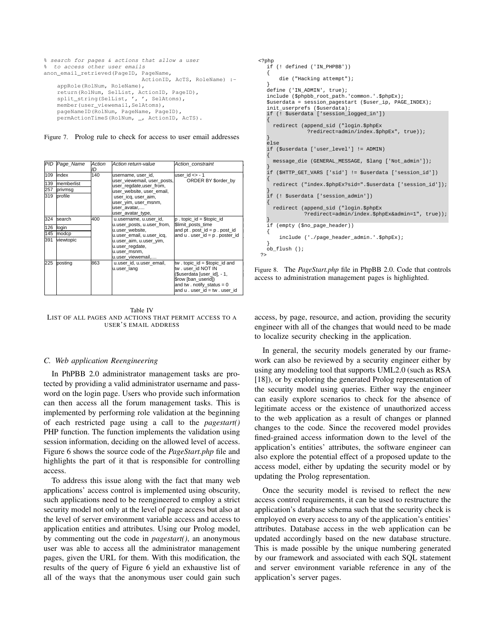```
% search for pages & actions that allow a user
% to access other user emails
anon email retrieved(PageID, PageName,
                                ActionID, AcTS, RoleName) :-
    appRole(RolNum, RoleName),
    return(RolNum, SelList, ActionID, PageID),<br>split string(SelList, ', ', SelAtoms),
    split_string(SelList,
    member(user_viewemail,SelAtoms),
    pageNameID(RolNum, PageName, PageID),
    permActionTimeS(RolNum, _, ActionID, AcTS).
```
Figure 7. Prolog rule to check for access to user email addresses

| PID | Page Name          | Action<br>ID | Action return-value                                                                  | Action constraint                                                                                                                                                                 | r                  |
|-----|--------------------|--------------|--------------------------------------------------------------------------------------|-----------------------------------------------------------------------------------------------------------------------------------------------------------------------------------|--------------------|
| 109 | lindex             | 140          | username, user id,                                                                   | luser id $\mathord{<}$ - 1                                                                                                                                                        | if                 |
| 139 | <i>Imemberlist</i> |              | user viewemail, user posts,<br>user regdate, user from,<br>user website, user email, | ORDER BY \$order by                                                                                                                                                               | Þ                  |
| 257 | privmsq            |              |                                                                                      |                                                                                                                                                                                   |                    |
| 319 | <b>profile</b>     |              | user icq, user aim,<br>user yim, user msnm,<br>user avatar,<br>user avatar type,     |                                                                                                                                                                                   | if<br>Þ            |
| 324 | <b>Isearch</b>     | 400          | u.username, u.user id,                                                               | $p$ . topic $id = $topic$ id                                                                                                                                                      |                    |
| 126 | llogin             |              | u.user posts, u.user from,                                                           | Slimit posts time                                                                                                                                                                 | if                 |
| 145 | modcp              |              | u.user website.<br>u.user email, u.user icq,                                         | and pt. post $id = p$ . post $id$<br>and $u$ . user $id = p$ . poster $id$                                                                                                        |                    |
| 391 | viewtopic          |              | u.user aim, u.user yim,<br>u.user regdate,<br>u.user msnm,<br>u.user viewemail,      |                                                                                                                                                                                   | ob.<br>2 >         |
| 225 | posting            | 863          | u.user id, u.user email,<br>u.user lang                                              | tw. topic id = \$topic id and<br>tw . user id NOT IN<br>(\$userdata [user id], - 1,<br>\$row [ban userid])<br>and tw. notify status = $0$<br>and $u$ . user $id = tw$ . user $id$ | Figure 3<br>access |

Table IV LIST OF ALL PAGES AND ACTIONS THAT PERMIT ACCESS TO A USER'S EMAIL ADDRESS

# *C. Web application Reengineering*

In PhPBB 2.0 administrator management tasks are protected by providing a valid administrator username and password on the login page. Users who provide such information can then access all the forum management tasks. This is implemented by performing role validation at the beginning of each restricted page using a call to the *pagestart()* PHP function. The function implements the validation using session information, deciding on the allowed level of access. Figure 6 shows the source code of the *PageStart.php* file and highlights the part of it that is responsible for controlling access.

To address this issue along with the fact that many web applications' access control is implemented using obscurity, such applications need to be reengineered to employ a strict security model not only at the level of page access but also at the level of server environment variable access and access to application entities and attributes. Using our Prolog model, by commenting out the code in *pagestart()*, an anonymous user was able to access all the administrator management pages, given the URL for them. With this modification, the results of the query of Figure 6 yield an exhaustive list of all of the ways that the anonymous user could gain such



Figure 8. The *PageStart.php* file in PhpBB 2.0. Code that controls  $p_{\text{max}}$  are the englishing  $p_{\text{max}}$  and  $p_{\text{max}}$  are the englished.

access, by page, resource, and action, providing the security engineer with all of the changes that would need to be made to localize security checking in the application.

In general, the security models generated by our framework can also be reviewed by a security engineer either by using any modeling tool that supports UML2.0 (such as RSA [18]), or by exploring the generated Prolog representation of the security model using queries. Either way the engineer can easily explore scenarios to check for the absence of legitimate access or the existence of unauthorized access to the web application as a result of changes or planned changes to the code. Since the recovered model provides fined-grained access information down to the level of the application's entities' attributes, the software engineer can also explore the potential effect of a proposed update to the access model, either by updating the security model or by updating the Prolog representation.

Once the security model is revised to reflect the new access control requirements, it can be used to restructure the application's database schema such that the security check is employed on every access to any of the application's entities' attributes. Database access in the web application can be updated accordingly based on the new database structure. This is made possible by the unique numbering generated by our framework and associated with each SQL statement and server environment variable reference in any of the application's server pages.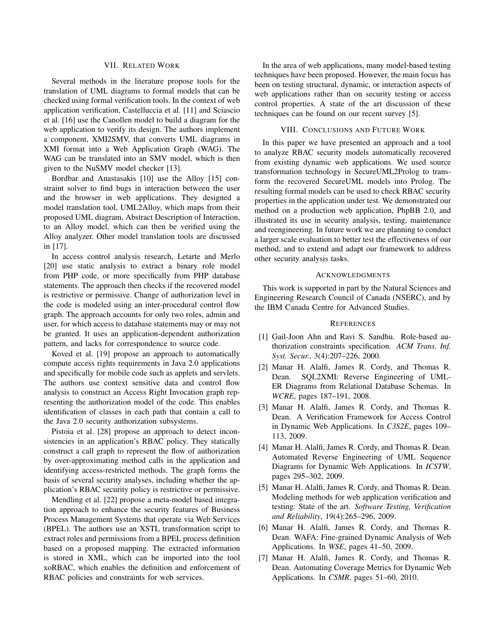# VII. RELATED WORK

Several methods in the literature propose tools for the translation of UML diagrams to formal models that can be checked using formal verification tools. In the context of web application verification, Castelluccia et al. [11] and Sciascio et al. [16] use the Canollen model to build a diagram for the web application to verify its design. The authors implement a component, XMI2SMV, that converts UML diagrams in XMI format into a Web Application Graph (WAG). The WAG can be translated into an SMV model, which is then given to the NuSMV model checker [13].

Bordbar and Anastasakis [10] use the Alloy [15] constraint solver to find bugs in interaction between the user and the browser in web applications. They designed a model translation tool, UML2Alloy, which maps from their proposed UML diagram, Abstract Description of Interaction, to an Alloy model, which can then be verified using the Alloy analyzer. Other model translation tools are discussed in [17].

In access control analysis research, Letarte and Merlo [20] use static analysis to extract a binary role model from PHP code, or more specifically from PHP database statements. The approach then checks if the recovered model is restrictive or permissive. Change of authorization level in the code is modeled using an inter-procedural control flow graph. The approach accounts for only two roles, admin and user, for which access to database statements may or may not be granted. It uses an application-dependent authorization pattern, and lacks for correspondence to source code.

Koved et al. [19] propose an approach to automatically compute access rights requirements in Java 2.0 applications and specifically for mobile code such as applets and servlets. The authors use context sensitive data and control flow analysis to construct an Access Right Invocation graph representing the authorization model of the code. This enables identification of classes in each path that contain a call to the Java 2.0 security authorization subsystems.

Pistoia et al. [28] propose an approach to detect inconsistencies in an application's RBAC policy. They statically construct a call graph to represent the flow of authorization by over-approximating method calls in the application and identifying access-restricted methods. The graph forms the basis of several security analyses, including whether the application's RBAC security policy is restrictive or permissive.

Mendling et al. [22] propose a meta-model based integration approach to enhance the security features of Business Process Management Systems that operate via Web Services (BPEL). The authors use an XSTL transformation script to extract roles and permissions from a BPEL process definition based on a proposed mapping. The extracted information is stored in XML, which can be imported into the tool xoRBAC, which enables the definition and enforcement of RBAC policies and constraints for web services.

In the area of web applications, many model-based testing techniques have been proposed. However, the main focus has been on testing structural, dynamic, or interaction aspects of web applications rather than on security testing or access control properties. A state of the art discussion of these techniques can be found on our recent survey [5].

#### VIII. CONCLUSIONS AND FUTURE WORK

In this paper we have presented an approach and a tool to analyze RBAC security models automatically recovered from existing dynamic web applications. We used source transformation technology in SecureUML2Prolog to transform the recovered SecureUML models into Prolog. The resulting formal models can be used to check RBAC security properties in the application under test. We demonstrated our method on a production web application, PhpBB 2.0, and illustrated its use in security analysis, testing, maintenance and reengineering. In future work we are planning to conduct a larger scale evaluation to better test the effectiveness of our method, and to extend and adapt our framework to address other security analysis tasks.

### ACKNOWLEDGMENTS

This work is supported in part by the Natural Sciences and Engineering Research Council of Canada (NSERC), and by the IBM Canada Centre for Advanced Studies.

## **REFERENCES**

- [1] Gail-Joon Ahn and Ravi S. Sandhu. Role-based authorization constraints specification. *ACM Trans. Inf. Syst. Secur.*, 3(4):207–226, 2000.
- [2] Manar H. Alalfi, James R. Cordy, and Thomas R. Dean. SQL2XMI: Reverse Engineering of UML-ER Diagrams from Relational Database Schemas. In *WCRE*, pages 187–191, 2008.
- [3] Manar H. Alalfi, James R. Cordy, and Thomas R. Dean. A Verification Framework for Access Control in Dynamic Web Applications. In *C3S2E*, pages 109– 113, 2009.
- [4] Manar H. Alalfi, James R. Cordy, and Thomas R. Dean. Automated Reverse Engineering of UML Sequence Diagrams for Dynamic Web Applications. In *ICSTW*, pages 295–302, 2009.
- [5] Manar H. Alalfi, James R. Cordy, and Thomas R. Dean. Modeling methods for web application verification and testing: State of the art. *Software Testing, Verification and Reliability*, 19(4):265–296, 2009.
- [6] Manar H. Alalfi, James R. Cordy, and Thomas R. Dean. WAFA: Fine-grained Dynamic Analysis of Web Applications. In *WSE*, pages 41–50, 2009.
- [7] Manar H. Alalfi, James R. Cordy, and Thomas R. Dean. Automating Coverage Metrics for Dynamic Web Applications. In *CSMR*, pages 51–60, 2010.